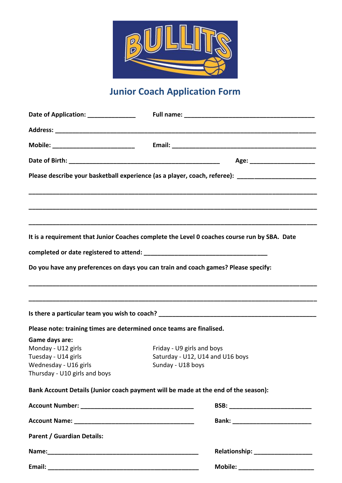

## **Junior Coach Application Form**

| Date of Application: ______________                                                                                   |                                                                                                                                                                                    |  |
|-----------------------------------------------------------------------------------------------------------------------|------------------------------------------------------------------------------------------------------------------------------------------------------------------------------------|--|
|                                                                                                                       |                                                                                                                                                                                    |  |
|                                                                                                                       |                                                                                                                                                                                    |  |
|                                                                                                                       |                                                                                                                                                                                    |  |
|                                                                                                                       | Please describe your basketball experience (as a player, coach, referee): _________________________                                                                                |  |
|                                                                                                                       | It is a requirement that Junior Coaches complete the Level 0 coaches course run by SBA. Date<br>Do you have any preferences on days you can train and coach games? Please specify: |  |
|                                                                                                                       |                                                                                                                                                                                    |  |
| Please note: training times are determined once teams are finalised.                                                  |                                                                                                                                                                                    |  |
| Game days are:<br>Monday - U12 girls<br>Tuesday - U14 girls<br>Wednesday - U16 girls<br>Thursday - U10 girls and boys | Friday - U9 girls and boys<br>Saturday - U12, U14 and U16 boys<br>Sunday - U18 boys                                                                                                |  |
|                                                                                                                       | Bank Account Details (Junior coach payment will be made at the end of the season):                                                                                                 |  |
|                                                                                                                       |                                                                                                                                                                                    |  |
|                                                                                                                       |                                                                                                                                                                                    |  |
| <b>Parent / Guardian Details:</b>                                                                                     |                                                                                                                                                                                    |  |
|                                                                                                                       | Relationship: __________________                                                                                                                                                   |  |
|                                                                                                                       | Mobile: ________________________                                                                                                                                                   |  |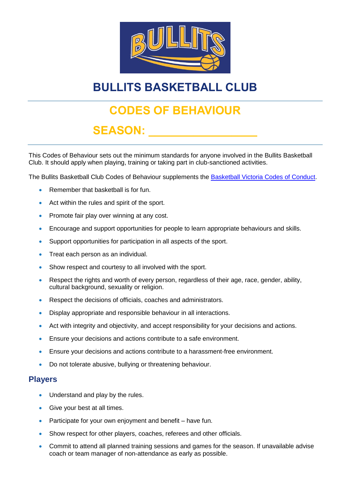

# **BULLITS BASKETBALL CLUB**

## **CODES OF BEHAVIOUR**

## $SEASON:$

This Codes of Behaviour sets out the minimum standards for anyone involved in the Bullits Basketball Club. It should apply when playing, training or taking part in club-sanctioned activities.

The Bullits Basketball Club Codes of Behaviour supplements the [Basketball Victoria Codes of Conduct.](http://basketballvictoria.com.au/policies/)

- Remember that basketball is for fun.
- Act within the rules and spirit of the sport.
- Promote fair play over winning at any cost.
- Encourage and support opportunities for people to learn appropriate behaviours and skills.
- Support opportunities for participation in all aspects of the sport.
- Treat each person as an individual.
- Show respect and courtesy to all involved with the sport.
- Respect the rights and worth of every person, regardless of their age, race, gender, ability, cultural background, sexuality or religion.
- Respect the decisions of officials, coaches and administrators.
- Display appropriate and responsible behaviour in all interactions.
- Act with integrity and objectivity, and accept responsibility for your decisions and actions.
- Ensure your decisions and actions contribute to a safe environment.
- Ensure your decisions and actions contribute to a harassment-free environment.
- Do not tolerate abusive, bullying or threatening behaviour.

#### **Players**

- Understand and play by the rules.
- Give your best at all times.
- Participate for your own enjoyment and benefit have fun.
- Show respect for other players, coaches, referees and other officials.
- Commit to attend all planned training sessions and games for the season. If unavailable advise coach or team manager of non-attendance as early as possible.